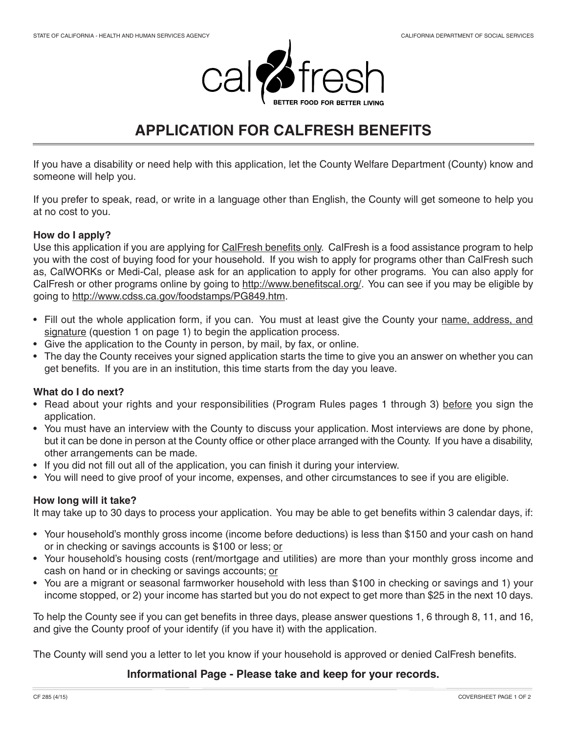

# **APPLICATION FOR CALFRESH BENEFITS**

If you have a disability or need help with this application, let the County Welfare Department (County) know and someone will help you.

If you prefer to speak, read, or write in a language other than English, the County will get someone to help you at no cost to you.

# **How do I apply?**

Use this application if you are applying for CalFresh benefits only. CalFresh is a food assistance program to help you with the cost of buying food for your household. If you wish to apply for programs other than CalFresh such as, CalWORKs or Medi-Cal, please ask for an application to apply for other programs. You can also apply for CalFresh or other programs online by going to http://www.benefitscal.org/. You can see if you may be eligible by going to http://www.cdss.ca.gov/foodstamps/PG849.htm.

- Fill out the whole application form, if you can. You must at least give the County your name, address, and signature (question 1 on page 1) to begin the application process.
- Give the application to the County in person, by mail, by fax, or online.
- The day the County receives your signed application starts the time to give you an answer on whether you can get benefits. If you are in an institution, this time starts from the day you leave.

# **What do I do next?**

- Read about your rights and your responsibilities (Program Rules pages 1 through 3) before you sign the application.
- You must have an interview with the County to discuss your application. Most interviews are done by phone, but it can be done in person at the County office or other place arranged with the County. If you have a disability, other arrangements can be made.
- If you did not fill out all of the application, you can finish it during your interview.
- You will need to give proof of your income, expenses, and other circumstances to see if you are eligible.

# **How long will it take?**

It may take up to 30 days to process your application. You may be able to get benefits within 3 calendar days, if:

- Your household's monthly gross income (income before deductions) is less than \$150 and your cash on hand or in checking or savings accounts is \$100 or less; or
- Your household's housing costs (rent/mortgage and utilities) are more than your monthly gross income and cash on hand or in checking or savings accounts; or
- You are a migrant or seasonal farmworker household with less than \$100 in checking or savings and 1) your income stopped, or 2) your income has started but you do not expect to get more than \$25 in the next 10 days.

To help the County see if you can get benefits in three days, please answer questions 1, 6 through 8, 11, and 16, and give the County proof of your identify (if you have it) with the application.

The County will send you a letter to let you know if your household is approved or denied CalFresh benefits.

# **Informational Page - Please take and keep for your records.**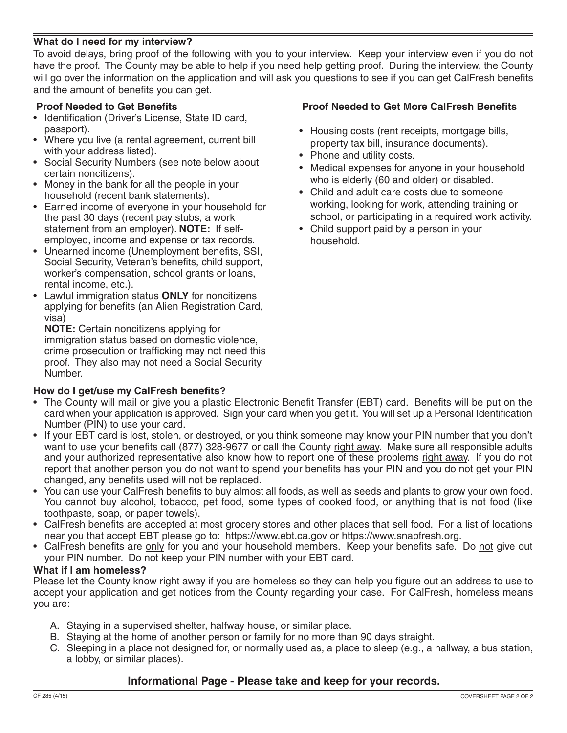# **What do I need for my interview?**

To avoid delays, bring proof of the following with you to your interview. Keep your interview even if you do not have the proof. The County may be able to help if you need help getting proof. During the interview, the County will go over the information on the application and will ask you questions to see if you can get CalFresh benefits and the amount of benefits you can get.

# **Proof Needed to Get Benefits**

- Identification (Driver's License, State ID card, passport).
- Where you live (a rental agreement, current bill with your address listed).
- Social Security Numbers (see note below about certain noncitizens).
- Money in the bank for all the people in your household (recent bank statements).
- Earned income of everyone in your household for the past 30 days (recent pay stubs, a work statement from an employer). **NOTE:** If selfemployed, income and expense or tax records.
- Unearned income (Unemployment benefits, SSI, Social Security, Veteran's benefits, child support, worker's compensation, school grants or loans, rental income, etc.).
- Lawful immigration status **ONLY** for noncitizens applying for benefits (an Alien Registration Card, visa)

**NOTE:** Certain noncitizens applying for immigration status based on domestic violence, crime prosecution or trafficking may not need this proof. They also may not need a Social Security Number.

# **How do I get/use my CalFresh benefits?**

# **Proof Needed to Get More CalFresh Benefits**

- Housing costs (rent receipts, mortgage bills, property tax bill, insurance documents).
- Phone and utility costs.
- Medical expenses for anyone in your household who is elderly (60 and older) or disabled.
- Child and adult care costs due to someone working, looking for work, attending training or school, or participating in a required work activity.
- Child support paid by a person in your household.

- The County will mail or give you a plastic Electronic Benefit Transfer (EBT) card. Benefits will be put on the card when your application is approved. Sign your card when you get it. You will set up a Personal Identification Number (PIN) to use your card.
- If your EBT card is lost, stolen, or destroyed, or you think someone may know your PIN number that you don't want to use your benefits call (877) 328-9677 or call the County right away. Make sure all responsible adults and your authorized representative also know how to report one of these problems right away. If you do not report that another person you do not want to spend your benefits has your PIN and you do not get your PIN changed, any benefits used will not be replaced.
- You can use your CalFresh benefits to buy almost all foods, as well as seeds and plants to grow your own food. You cannot buy alcohol, tobacco, pet food, some types of cooked food, or anything that is not food (like toothpaste, soap, or paper towels).
- CalFresh benefits are accepted at most grocery stores and other places that sell food. For a list of locations near you that accept EBT please go to: https://www.ebt.ca.gov or https://www.snapfresh.org.
- CalFresh benefits are only for you and your household members. Keep your benefits safe. Do not give out your PIN number. Do not keep your PIN number with your EBT card.

#### **What if I am homeless?**

Please let the County know right away if you are homeless so they can help you figure out an address to use to accept your application and get notices from the County regarding your case. For CalFresh, homeless means you are:

- A. Staying in a supervised shelter, halfway house, or similar place.
- B. Staying at the home of another person or family for no more than 90 days straight.
- C. Sleeping in a place not designed for, or normally used as, a place to sleep (e.g., a hallway, a bus station, a lobby, or similar places).

# **Informational Page - Please take and keep for your records.**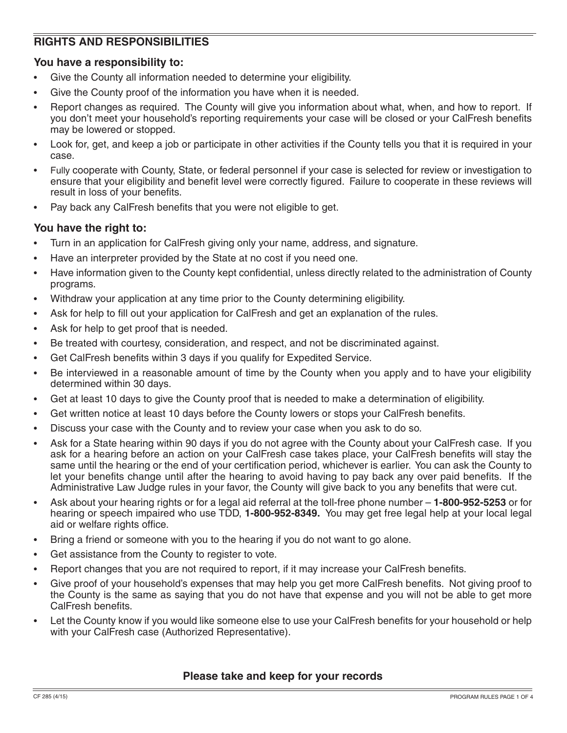# **RIGHTS AND RESPONSIBILITIES**

# **You have a responsibility to:**

- Give the County all information needed to determine your eligibility.
- Give the County proof of the information you have when it is needed.
- Report changes as required. The County will give you information about what, when, and how to report. If you don't meet your household's reporting requirements your case will be closed or your CalFresh benefits may be lowered or stopped.
- Look for, get, and keep a job or participate in other activities if the County tells you that it is required in your case.
- Fully cooperate with County, State, or federal personnel if your case is selected for review or investigation to ensure that your eligibility and benefit level were correctly figured. Failure to cooperate in these reviews will result in loss of your benefits.
- Pay back any CalFresh benefits that you were not eligible to get.

# **You have the right to:**

- Turn in an application for CalFresh giving only your name, address, and signature.
- Have an interpreter provided by the State at no cost if you need one.
- Have information given to the County kept confidential, unless directly related to the administration of County programs.
- Withdraw your application at any time prior to the County determining eligibility.
- Ask for help to fill out your application for CalFresh and get an explanation of the rules.
- Ask for help to get proof that is needed.
- Be treated with courtesy, consideration, and respect, and not be discriminated against.
- Get CalFresh benefits within 3 days if you qualify for Expedited Service.
- Be interviewed in a reasonable amount of time by the County when you apply and to have your eligibility determined within 30 days.
- Get at least 10 days to give the County proof that is needed to make a determination of eligibility.
- Get written notice at least 10 days before the County lowers or stops your CalFresh benefits.
- Discuss your case with the County and to review your case when you ask to do so.
- Ask for a State hearing within 90 days if you do not agree with the County about your CalFresh case. If you ask for a hearing before an action on your CalFresh case takes place, your CalFresh benefits will stay the same until the hearing or the end of your certification period, whichever is earlier. You can ask the County to let your benefits change until after the hearing to avoid having to pay back any over paid benefits. If the Administrative Law Judge rules in your favor, the County will give back to you any benefits that were cut.
- Ask about your hearing rights or for a legal aid referral at the toll-free phone number **1-800-952-5253** or for hearing or speech impaired who use TDD, **1-800-952-8349.** You may get free legal help at your local legal aid or welfare rights office.
- Bring a friend or someone with you to the hearing if you do not want to go alone.
- Get assistance from the County to register to vote.
- Report changes that you are not required to report, if it may increase your CalFresh benefits.
- Give proof of your household's expenses that may help you get more CalFresh benefits. Not giving proof to the County is the same as saying that you do not have that expense and you will not be able to get more CalFresh benefits.
- Let the County know if you would like someone else to use your CalFresh benefits for your household or help with your CalFresh case (Authorized Representative).

# **Please take and keep for your records**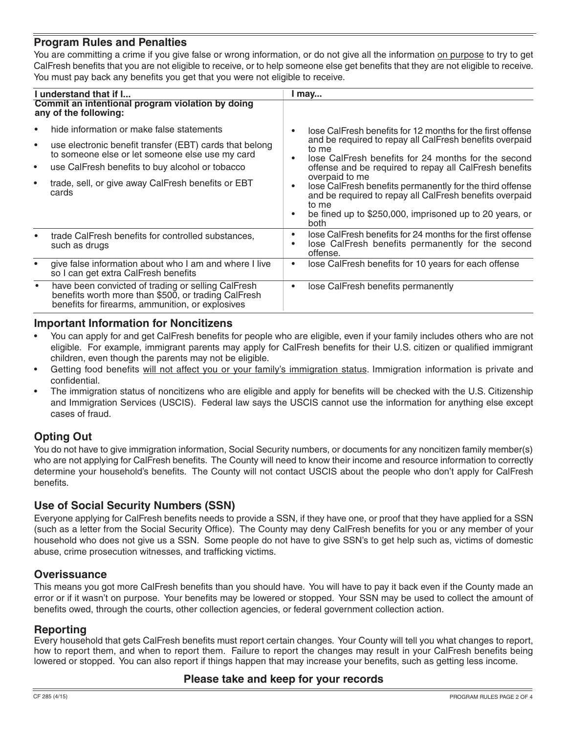# **Program Rules and Penalties**

You are committing a crime if you give false or wrong information, or do not give all the information on purpose to try to get CalFresh benefits that you are not eligible to receive, or to help someone else get benefits that they are not eligible to receive. You must pay back any benefits you get that you were not eligible to receive.

| I understand that if I                                                                                                                                                                                                                                                                                                        | I may                                                                                                                                                                                                                                                                                                                                                                                                                                                                |
|-------------------------------------------------------------------------------------------------------------------------------------------------------------------------------------------------------------------------------------------------------------------------------------------------------------------------------|----------------------------------------------------------------------------------------------------------------------------------------------------------------------------------------------------------------------------------------------------------------------------------------------------------------------------------------------------------------------------------------------------------------------------------------------------------------------|
| Commit an intentional program violation by doing<br>any of the following:                                                                                                                                                                                                                                                     |                                                                                                                                                                                                                                                                                                                                                                                                                                                                      |
| hide information or make false statements<br>$\bullet$<br>use electronic benefit transfer (EBT) cards that belong<br>$\bullet$<br>to someone else or let someone else use my card<br>use CalFresh benefits to buy alcohol or tobacco<br>$\bullet$<br>trade, sell, or give away CalFresh benefits or EBT<br>$\bullet$<br>cards | lose CalFresh benefits for 12 months for the first offense<br>and be required to repay all CalFresh benefits overpaid<br>to me<br>lose CalFresh benefits for 24 months for the second<br>offense and be required to repay all CalFresh benefits<br>overpaid to me<br>lose CalFresh benefits permanently for the third offense<br>and be required to repay all CalFresh benefits overpaid<br>to me<br>be fined up to \$250,000, imprisoned up to 20 years, or<br>both |
| trade CalFresh benefits for controlled substances,<br>such as drugs                                                                                                                                                                                                                                                           | lose CalFresh benefits for 24 months for the first offense<br>lose CalFresh benefits permanently for the second<br>offense.                                                                                                                                                                                                                                                                                                                                          |
| give false information about who I am and where I live<br>so I can get extra CalFresh benefits                                                                                                                                                                                                                                | lose CalFresh benefits for 10 years for each offense                                                                                                                                                                                                                                                                                                                                                                                                                 |
| have been convicted of trading or selling CalFresh<br>$\bullet$<br>benefits worth more than \$500, or trading CalFresh<br>benefits for firearms, ammunition, or explosives                                                                                                                                                    | lose CalFresh benefits permanently                                                                                                                                                                                                                                                                                                                                                                                                                                   |

# **Important Information for Noncitizens**

- You can apply for and get CalFresh benefits for people who are eligible, even if your family includes others who are not eligible. For example, immigrant parents may apply for CalFresh benefits for their U.S. citizen or qualified immigrant children, even though the parents may not be eligible.
- Getting food benefits will not affect you or your family's immigration status. Immigration information is private and confidential.
- The immigration status of noncitizens who are eligible and apply for benefits will be checked with the U.S. Citizenship and Immigration Services (USCIS). Federal law says the USCIS cannot use the information for anything else except cases of fraud.

# **Opting Out**

You do not have to give immigration information, Social Security numbers, or documents for any noncitizen family member(s) who are not applying for CalFresh benefits. The County will need to know their income and resource information to correctly determine your household's benefits. The County will not contact USCIS about the people who don't apply for CalFresh benefits.

# **Use of Social Security Numbers (SSN)**

Everyone applying for CalFresh benefits needs to provide a SSN, if they have one, or proof that they have applied for a SSN (such as a letter from the Social Security Office). The County may deny CalFresh benefits for you or any member of your household who does not give us a SSN. Some people do not have to give SSN's to get help such as, victims of domestic abuse, crime prosecution witnesses, and trafficking victims.

# **Overissuance**

This means you got more CalFresh benefits than you should have. You will have to pay it back even if the County made an error or if it wasn't on purpose. Your benefits may be lowered or stopped. Your SSN may be used to collect the amount of benefits owed, through the courts, other collection agencies, or federal government collection action.

# **Reporting**

Every household that gets CalFresh benefits must report certain changes. Your County will tell you what changes to report, how to report them, and when to report them. Failure to report the changes may result in your CalFresh benefits being lowered or stopped. You can also report if things happen that may increase your benefits, such as getting less income.

# **Please take and keep for your records**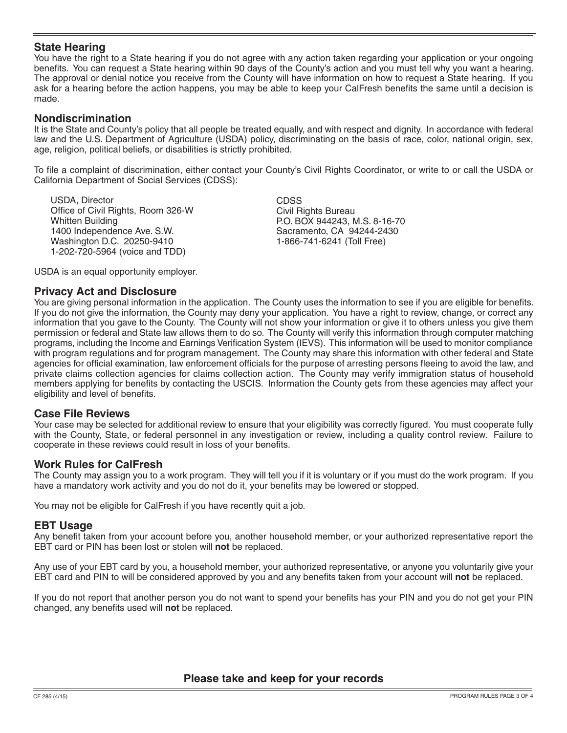# **State Hearing**

You have the right to a State hearing if you do not agree with any action taken regarding your application or your ongoing benefits. You can request a State hearing within 90 days of the County's action and you must tell why you want a hearing. The approval or denial notice you receive from the County will have information on how to request a State hearing. If you ask for a hearing before the action happens, you may be able to keep your CalFresh benefits the same until a decision is made.

#### **Nondiscrimination**

It is the State and County's policy that all people be treated equally, and with respect and dignity. In accordance with federal law and the U.S. Department of Agriculture (USDA) policy, discriminating on the basis of race, color, national origin, sex, age, religion, political beliefs, or disabilities is strictly prohibited.

To file a complaint of discrimination, either contact your County's Civil Rights Coordinator, or write to or call the USDA or California Department of Social Services (CDSS):

USDA, Director Office of Civil Rights, Room 326-W Whitten Building 1400 Independence Ave. S.W. Washington D.C. 20250-9410 1-202-720-5964 (voice and TDD)

CDSS Civil Rights Bureau P.O. BOX 944243, M.S. 8-16-70 Sacramento, CA 94244-2430 1-866-741-6241 (Toll Free)

USDA is an equal opportunity employer.

#### **Privacy Act and Disclosure**

You are giving personal information in the application. The County uses the information to see if you are eligible for benefits. If you do not give the information, the County may deny your application. You have a right to review, change, or correct any information that you gave to the County. The County will not show your information or give it to others unless you give them permission or federal and State law allows them to do so. The County will verify this information through computer matching programs, including the Income and Earnings Verification System (IEVS). This information will be used to monitor compliance with program regulations and for program management. The County may share this information with other federal and State agencies for official examination, law enforcement officials for the purpose of arresting persons fleeing to avoid the law, and private claims collection agencies for claims collection action. The County may verify immigration status of household members applying for benefits by contacting the USCIS. Information the County gets from these agencies may affect your eligibility and level of benefits.

#### **Case File Reviews**

Your case may be selected for additional review to ensure that your eligibility was correctly figured. You must cooperate fully with the County, State, or federal personnel in any investigation or review, including a quality control review. Failure to cooperate in these reviews could result in loss of your benefits.

#### **Work Rules for CalFresh**

The County may assign you to a work program. They will tell you if it is voluntary or if you must do the work program. If you have a mandatory work activity and you do not do it, your benefits may be lowered or stopped.

You may not be eligible for CalFresh if you have recently quit a job.

#### **EBT Usage**

Any benefit taken from your account before you, another household member, or your authorized representative report the EBT card or PIN has been lost or stolen will **not** be replaced.

Any use of your EBT card by you, a household member, your authorized representative, or anyone you voluntarily give your EBT card and PIN to will be considered approved by you and any benefits taken from your account will **not** be replaced.

If you do not report that another person you do not want to spend your benefits has your PIN and you do not get your PIN changed, any benefits used will **not** be replaced.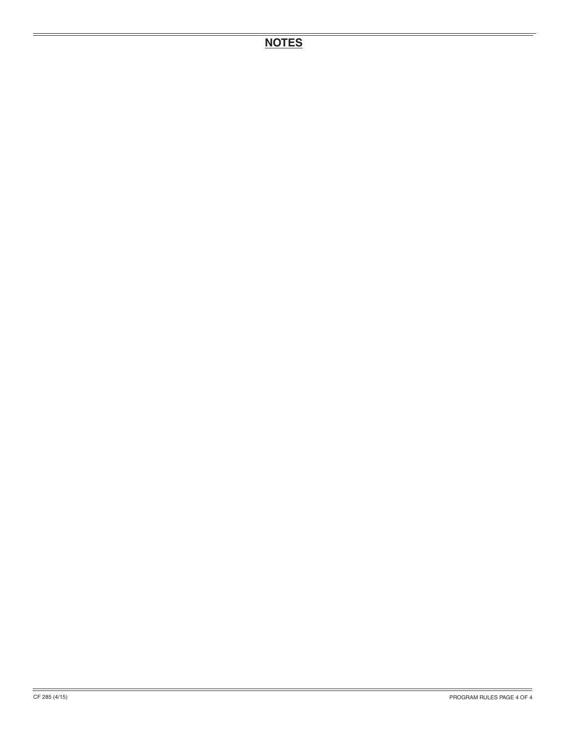# **NOTES**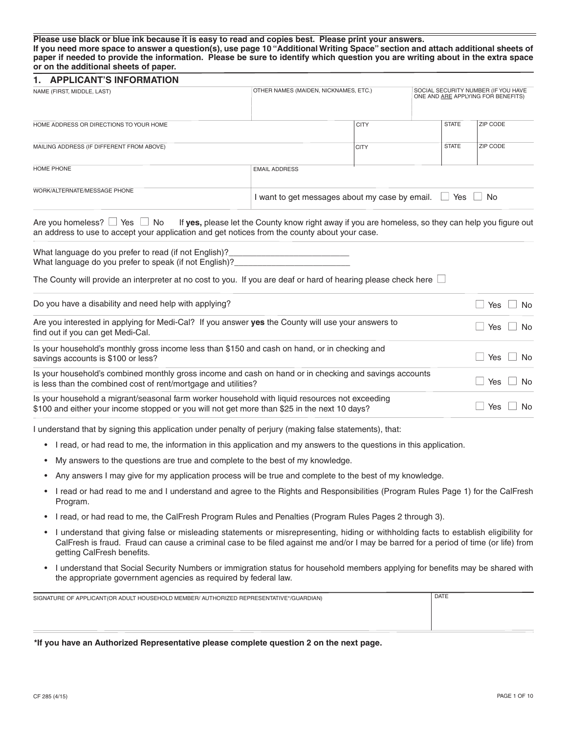#### **Please use black or blue ink because it is easy to read and copies best. Please print your answers. If you need more space to answer a question(s), use page 10 "Additional Writing Space" section and attach additional sheets of paper if needed to provide the information. Please be sure to identify which question you are writing about in the extra space or on the additional sheets of paper.**

| <b>APPLICANT'S INFORMATION</b><br>1.                                                                                                                                                                                                     |                                                                                                    |                                                       |              |                                                                           |  |  |
|------------------------------------------------------------------------------------------------------------------------------------------------------------------------------------------------------------------------------------------|----------------------------------------------------------------------------------------------------|-------------------------------------------------------|--------------|---------------------------------------------------------------------------|--|--|
| NAME (FIRST, MIDDLE, LAST)                                                                                                                                                                                                               |                                                                                                    | OTHER NAMES (MAIDEN, NICKNAMES, ETC.)                 |              | SOCIAL SECURITY NUMBER (IF YOU HAVE<br>ONE AND ARE APPLYING FOR BENEFITS) |  |  |
| HOME ADDRESS OR DIRECTIONS TO YOUR HOME                                                                                                                                                                                                  |                                                                                                    | <b>CITY</b>                                           | <b>STATE</b> | ZIP CODE                                                                  |  |  |
| MAILING ADDRESS (IF DIFFERENT FROM ABOVE)                                                                                                                                                                                                |                                                                                                    | <b>CITY</b>                                           | <b>STATE</b> | <b>ZIP CODE</b>                                                           |  |  |
| <b>HOME PHONE</b>                                                                                                                                                                                                                        | <b>EMAIL ADDRESS</b>                                                                               |                                                       |              |                                                                           |  |  |
| WORK/ALTERNATE/MESSAGE PHONE                                                                                                                                                                                                             |                                                                                                    | I want to get messages about my case by email. $\Box$ |              | Yes $\Box$ No                                                             |  |  |
| Are you homeless? $\Box$ Yes $\Box$ No<br>an address to use to accept your application and get notices from the county about your case.                                                                                                  | If yes, please let the County know right away if you are homeless, so they can help you figure out |                                                       |              |                                                                           |  |  |
| What language do you prefer to read (if not English)?<br>What language do you prefer to speak (if not English)?<br>The County will provide an interpreter at no cost to you. If you are deaf or hard of hearing please check here $\Box$ |                                                                                                    |                                                       |              |                                                                           |  |  |
| Do you have a disability and need help with applying?                                                                                                                                                                                    |                                                                                                    |                                                       |              | <b>No</b><br>Yes                                                          |  |  |
| Are you interested in applying for Medi-Cal? If you answer yes the County will use your answers to<br>find out if you can get Medi-Cal.                                                                                                  |                                                                                                    |                                                       |              | Yes<br><b>No</b>                                                          |  |  |
| Is your household's monthly gross income less than \$150 and cash on hand, or in checking and<br>savings accounts is \$100 or less?                                                                                                      |                                                                                                    |                                                       |              | Yes<br><b>No</b>                                                          |  |  |
| Is your household's combined monthly gross income and cash on hand or in checking and savings accounts<br>is less than the combined cost of rent/mortgage and utilities?                                                                 |                                                                                                    |                                                       |              | Yes<br><b>No</b>                                                          |  |  |
| Is your household a migrant/seasonal farm worker household with liquid resources not exceeding<br>\$100 and either your income stopped or you will not get more than \$25 in the next 10 days?                                           |                                                                                                    |                                                       |              | Yes<br><b>No</b>                                                          |  |  |
|                                                                                                                                                                                                                                          |                                                                                                    |                                                       |              |                                                                           |  |  |

I understand that by signing this application under penalty of perjury (making false statements), that:

- I read, or had read to me, the information in this application and my answers to the questions in this application.
- My answers to the questions are true and complete to the best of my knowledge.
- Any answers I may give for my application process will be true and complete to the best of my knowledge.
- I read or had read to me and I understand and agree to the Rights and Responsibilities (Program Rules Page 1) for the CalFresh Program.
- I read, or had read to me, the CalFresh Program Rules and Penalties (Program Rules Pages 2 through 3).
- I understand that giving false or misleading statements or misrepresenting, hiding or withholding facts to establish eligibility for CalFresh is fraud. Fraud can cause a criminal case to be filed against me and/or I may be barred for a period of time (or life) from getting CalFresh benefits.
- I understand that Social Security Numbers or immigration status for household members applying for benefits may be shared with the appropriate government agencies as required by federal law.

| SIGNATURE OF APPLICANT(OR ADULT HOUSEHOLD MEMBER/ AUTHORIZED REPRESENTATIVE*/GUARDIAN) | <b>DATE</b> |
|----------------------------------------------------------------------------------------|-------------|
|                                                                                        |             |
|                                                                                        |             |
|                                                                                        |             |

**\*If you have an Authorized Representative please complete question 2 on the next page.**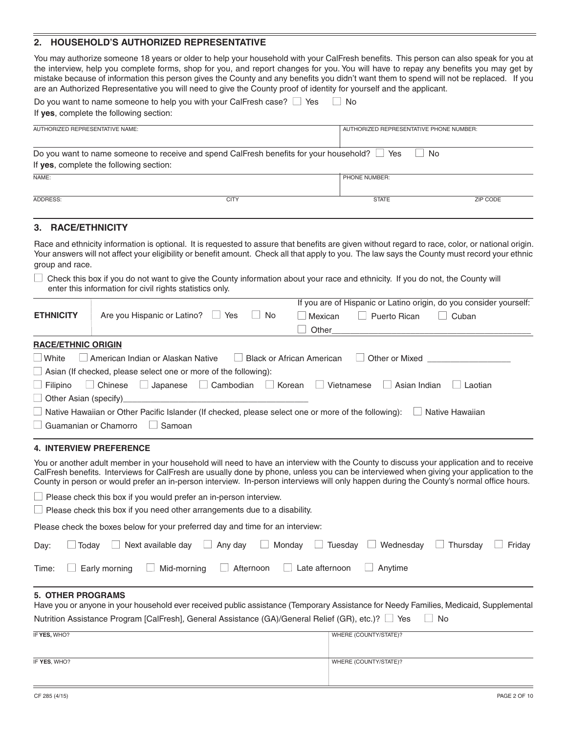#### **2. HOUSEHOLD'S AUTHORIZED REPRESENTATIVE**

You may authorize someone 18 years or older to help your household with your CalFresh benefits. This person can also speak for you at the interview, help you complete forms, shop for you, and report changes for you. You will have to repay any benefits you may get by mistake because of information this person gives the County and any benefits you didn't want them to spend will not be replaced. If you are an Authorized Representative you will need to give the County proof of identity for yourself and the applicant.

| Do you want to name someone to help you with your CalFresh case? $\Box$ Yes<br>$\vert$ No<br>If yes, complete the following section: |                                                                                                   |                                         |          |  |  |  |  |
|--------------------------------------------------------------------------------------------------------------------------------------|---------------------------------------------------------------------------------------------------|-----------------------------------------|----------|--|--|--|--|
| AUTHORIZED REPRESENTATIVE NAME:                                                                                                      |                                                                                                   | AUTHORIZED REPRESENTATIVE PHONE NUMBER: |          |  |  |  |  |
| If yes, complete the following section:                                                                                              | Do you want to name someone to receive and spend CalFresh benefits for your household? $\Box$ Yes | No                                      |          |  |  |  |  |
| NAME:<br>PHONE NUMBER:                                                                                                               |                                                                                                   |                                         |          |  |  |  |  |
| ADDRESS:                                                                                                                             | <b>CITY</b>                                                                                       | <b>STATE</b>                            | ZIP CODE |  |  |  |  |

#### **3. RACE/ETHNICITY**

Race and ethnicity information is optional. It is requested to assure that benefits are given without regard to race, color, or national origin. Your answers will not affect your eligibility or benefit amount. Check all that apply to you. The law says the County must record your ethnic group and race.

 $\Box$  Check this box if you do not want to give the County information about your race and ethnicity. If you do not, the County will enter this information for civil rights statistics only.

|                              |                                                                                                                                                                                                                                                                                                                                                                                                                           |                           | If you are of Hispanic or Latino origin, do you consider yourself: |
|------------------------------|---------------------------------------------------------------------------------------------------------------------------------------------------------------------------------------------------------------------------------------------------------------------------------------------------------------------------------------------------------------------------------------------------------------------------|---------------------------|--------------------------------------------------------------------|
| <b>ETHNICITY</b>             | Are you Hispanic or Latino?<br>No<br>Yes<br>$\vert \ \ \vert$                                                                                                                                                                                                                                                                                                                                                             | Mexican                   | $\Box$ Puerto Rican<br>Cuban                                       |
|                              |                                                                                                                                                                                                                                                                                                                                                                                                                           |                           |                                                                    |
| <b>RACE/ETHNIC ORIGIN</b>    |                                                                                                                                                                                                                                                                                                                                                                                                                           |                           |                                                                    |
|                              | $\Box$ White $\Box$ American Indian or Alaskan Native                                                                                                                                                                                                                                                                                                                                                                     | Black or African American | Other or Mixed                                                     |
|                              | $\Box$ Asian (If checked, please select one or more of the following):                                                                                                                                                                                                                                                                                                                                                    |                           |                                                                    |
|                              | $\Box$ Filipino $\Box$ Chinese $\Box$ Japanese $\Box$ Cambodian $\Box$ Korean $\Box$ Vietnamese                                                                                                                                                                                                                                                                                                                           |                           | Asian Indian<br>Laotian                                            |
|                              |                                                                                                                                                                                                                                                                                                                                                                                                                           |                           |                                                                    |
|                              | □ Native Hawaiian or Other Pacific Islander (If checked, please select one or more of the following): □ Native Hawaiian                                                                                                                                                                                                                                                                                                   |                           |                                                                    |
| $\Box$ Guamanian or Chamorro | Samoan<br>$\sim$ 100 $\pm$                                                                                                                                                                                                                                                                                                                                                                                                |                           |                                                                    |
|                              | <b>4. INTERVIEW PREFERENCE</b>                                                                                                                                                                                                                                                                                                                                                                                            |                           |                                                                    |
|                              | You or another adult member in your household will need to have an interview with the County to discuss your application and to receive<br>CalFresh benefits. Interviews for CalFresh are usually done by phone, unless you can be interviewed when giving your application to the<br>County is severe currently surfaced in poron intoniour. In poron intonious will only bonnon during the County's pormal office bours |                           |                                                                    |

County in person or would prefer an in-person interview. In-person interviews will only happen during the County's normal office hours.

| $\Box$ Please check this box if you would prefer an in-person interview. |  |  |  |  |
|--------------------------------------------------------------------------|--|--|--|--|

 $\Box$  Please check this box if you need other arrangements due to a disability.

Please check the boxes below for your preferred day and time for an interview:

| Day: □ Today □ Next available day □ Any day □ Monday □ Tuesday □ Wednesday □ Thursday □ Friday      |  |  |  |  |
|-----------------------------------------------------------------------------------------------------|--|--|--|--|
| Time: $\Box$ Early morning $\Box$ Mid-morning $\Box$ Afternoon $\Box$ Late afternoon $\Box$ Anytime |  |  |  |  |

#### **5. OTHER PROGRAMS**

| Have you or anyone in your household ever received public assistance (Temporary Assistance for Needy Families, Medicaid, Supplemental |  |
|---------------------------------------------------------------------------------------------------------------------------------------|--|
| Nutrition Assistance Program [CalFresh], General Assistance (GA)/General Relief (GR), etc.)? □ Yes □ No                               |  |

| IF YES, WHO? | WHERE (COUNTY/STATE)? |
|--------------|-----------------------|
|              |                       |
| IF YES, WHO? | WHERE (COUNTY/STATE)? |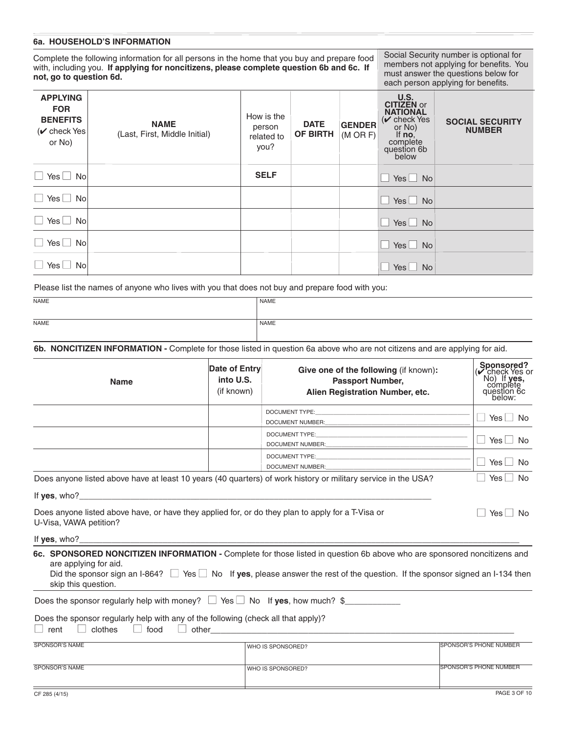#### **6a. HOUSEHOLD'S INFORMATION**

Complete the following information for all persons in the home that you buy and prepare food with, including you. **If applying for noncitizens, please complete question 6b and 6c. If not, go to question 6d.**

Social Security number is optional for members not applying for benefits. You must answer the questions below for each person applying for benefits.

| <b>APPLYING</b><br><b>FOR</b><br><b>BENEFITS</b><br>$(v)$ check Yes<br>or No) | <b>NAME</b><br>(Last, First, Middle Initial) | How is the<br>person<br>related to<br>you? | <b>DATE</b><br><b>OF BIRTH</b> | <b>GENDER</b><br>$(M \t{OR } F)$ | U.S.<br><b>CITIZEN</b> or<br><b>NATIONAL</b><br>$(\vee)$ check Yes<br>or No)<br>If $no$ ,<br>complete<br>question 6b<br>below | <b>SOCIAL SECURITY</b><br><b>NUMBER</b> |
|-------------------------------------------------------------------------------|----------------------------------------------|--------------------------------------------|--------------------------------|----------------------------------|-------------------------------------------------------------------------------------------------------------------------------|-----------------------------------------|
| $\Box$ Yes $\Box$ No                                                          |                                              | <b>SELF</b>                                |                                |                                  | $Yes \Box No$                                                                                                                 |                                         |
| $\Box$ Yes $\Box$ No                                                          |                                              |                                            |                                |                                  | $Yes \tN$                                                                                                                     |                                         |
| $\Box$ Yes $\Box$ No                                                          |                                              |                                            |                                |                                  | $Yes \Box No$                                                                                                                 |                                         |
| $\Box$ Yes $\Box$ No                                                          |                                              |                                            |                                |                                  | $Yes \Box No$                                                                                                                 |                                         |
| $\Box$ Yes $\Box$ No                                                          |                                              |                                            |                                |                                  | $Yes \Box No$                                                                                                                 |                                         |

Please list the names of anyone who lives with you that does not buy and prepare food with you:

| NAME | <b>NAME</b> |
|------|-------------|
|      |             |
| NAME | NAME        |
|      |             |

**6b. NONCITIZEN INFORMATION -** Complete for those listed in question 6a above who are not citizens and are applying for aid.

| <b>Name</b>                                                                                                                           | Date of Entry<br>into U.S.<br>(if known) | Give one of the following (if known):<br><b>Passport Number,</b><br>Alien Registration Number, etc.                                                                                                                                                                | Sponsored?<br>Check Yes or<br>$No)$ If $ves$ ,<br>complete<br>question 6c<br>below: |
|---------------------------------------------------------------------------------------------------------------------------------------|------------------------------------------|--------------------------------------------------------------------------------------------------------------------------------------------------------------------------------------------------------------------------------------------------------------------|-------------------------------------------------------------------------------------|
|                                                                                                                                       |                                          |                                                                                                                                                                                                                                                                    | $\Box$ Yes $\Box$ No                                                                |
|                                                                                                                                       |                                          | DOCUMENT TYPE: THE STATE OF THE STATE OF THE STATE OF THE STATE OF THE STATE OF THE STATE OF THE STATE OF THE STATE OF THE STATE OF THE STATE OF THE STATE OF THE STATE OF THE STATE OF THE STATE OF THE STATE OF THE STATE OF                                     | $\Box$ Yes $\Box$ No                                                                |
|                                                                                                                                       |                                          | DOCUMENT NUMBER: COMPONENT MUMBER:                                                                                                                                                                                                                                 | $\Box$ Yes $\Box$ No                                                                |
|                                                                                                                                       |                                          | Does anyone listed above have at least 10 years (40 quarters) of work history or military service in the USA?                                                                                                                                                      | Yes I<br><b>No</b>                                                                  |
| Does anyone listed above have, or have they applied for, or do they plan to apply for a T-Visa or<br>U-Visa, VAWA petition?           |                                          |                                                                                                                                                                                                                                                                    | $Yes \mid \mid$<br>No.                                                              |
|                                                                                                                                       |                                          |                                                                                                                                                                                                                                                                    |                                                                                     |
| are applying for aid.<br>skip this question.                                                                                          |                                          | 6c. SPONSORED NONCITIZEN INFORMATION - Complete for those listed in question 6b above who are sponsored noncitizens and<br>Did the sponsor sign an I-864? $\Box$ Yes $\Box$ No If yes, please answer the rest of the question. If the sponsor signed an I-134 then |                                                                                     |
| Does the sponsor regularly help with money? $\Box$ Yes $\Box$ No If yes, how much? \$                                                 |                                          |                                                                                                                                                                                                                                                                    |                                                                                     |
| Does the sponsor regularly help with any of the following (check all that apply)?<br>clothes    <br>rent<br>food<br>$\perp$<br>$\Box$ |                                          |                                                                                                                                                                                                                                                                    |                                                                                     |
| <b>SPONSOR'S NAME</b>                                                                                                                 |                                          | WHO IS SPONSORED?                                                                                                                                                                                                                                                  | <b>ISPONSOR'S PHONE NUMBER</b>                                                      |
| <b>SPONSOR'S NAME</b>                                                                                                                 |                                          | WHO IS SPONSORED?                                                                                                                                                                                                                                                  | SPONSOR'S PHONE NUMBER                                                              |
|                                                                                                                                       |                                          |                                                                                                                                                                                                                                                                    |                                                                                     |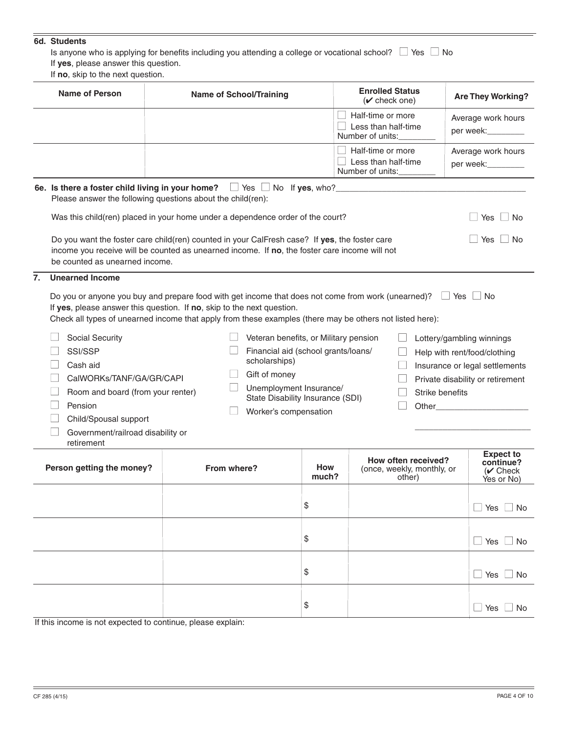#### **6d. Students**

Is anyone who is applying for benefits including you attending a college or vocational school?  $\Box$  Yes  $\Box$  No

If **yes**, please answer this question.

If **no**, skip to the next question.

| <b>Name of Person</b>                                                               | <b>Name of School/Training</b>                                                                                                                                                                                                                                                                                                                                                                                                                                                                                                                                                                                                                                                                                      | <b>Enrolled Status</b><br>$(\vee$ check one) |                                                                            | <b>Are They Working?</b>                                  |  |
|-------------------------------------------------------------------------------------|---------------------------------------------------------------------------------------------------------------------------------------------------------------------------------------------------------------------------------------------------------------------------------------------------------------------------------------------------------------------------------------------------------------------------------------------------------------------------------------------------------------------------------------------------------------------------------------------------------------------------------------------------------------------------------------------------------------------|----------------------------------------------|----------------------------------------------------------------------------|-----------------------------------------------------------|--|
|                                                                                     |                                                                                                                                                                                                                                                                                                                                                                                                                                                                                                                                                                                                                                                                                                                     |                                              | $\Box$ Half-time or more<br>$\Box$ Less than half-time<br>Number of units: | Average work hours<br>per week:_________                  |  |
|                                                                                     |                                                                                                                                                                                                                                                                                                                                                                                                                                                                                                                                                                                                                                                                                                                     |                                              | $\Box$ Half-time or more<br>$\Box$ Less than half-time<br>Number of units: | Average work hours<br>per week:_________                  |  |
|                                                                                     | 6e. Is there a foster child living in your home? $\Box$ Yes $\Box$ No If yes, who?<br>Please answer the following questions about the child(ren):                                                                                                                                                                                                                                                                                                                                                                                                                                                                                                                                                                   |                                              |                                                                            |                                                           |  |
|                                                                                     | Was this child(ren) placed in your home under a dependence order of the court?                                                                                                                                                                                                                                                                                                                                                                                                                                                                                                                                                                                                                                      |                                              |                                                                            | Yes<br>∣No                                                |  |
| be counted as unearned income.                                                      | Do you want the foster care child(ren) counted in your CalFresh case? If yes, the foster care<br>income you receive will be counted as unearned income. If no, the foster care income will not                                                                                                                                                                                                                                                                                                                                                                                                                                                                                                                      |                                              |                                                                            | Yes<br>No                                                 |  |
| Social Security<br>SSI/SSP<br>Cash aid                                              | Do you or anyone you buy and prepare food with get income that does not come from work (unearned)? $\Box$<br>Yes I No<br>If yes, please answer this question. If no, skip to the next question.<br>Check all types of unearned income that apply from these examples (there may be others not listed here):<br>Veteran benefits, or Military pension<br>Lottery/gambling winnings<br>Financial aid (school grants/loans/<br>Help with rent/food/clothing<br>scholarships)<br>Insurance or legal settlements<br>Gift of money<br>CalWORKs/TANF/GA/GR/CAPI<br>Private disability or retirement<br>Unemployment Insurance/<br>Room and board (from your renter)<br>Strike benefits<br>State Disability Insurance (SDI) |                                              |                                                                            |                                                           |  |
| Pension<br>Child/Spousal support<br>Government/railroad disability or<br>retirement | Worker's compensation                                                                                                                                                                                                                                                                                                                                                                                                                                                                                                                                                                                                                                                                                               |                                              |                                                                            |                                                           |  |
| Person getting the money?                                                           | From where?                                                                                                                                                                                                                                                                                                                                                                                                                                                                                                                                                                                                                                                                                                         | How<br>much?                                 | How often received?<br>(once, weekly, monthly, or<br>other)                | <b>Expect to</b><br>continue?<br>$(V$ Check<br>Yes or No) |  |
|                                                                                     |                                                                                                                                                                                                                                                                                                                                                                                                                                                                                                                                                                                                                                                                                                                     | \$                                           |                                                                            | $\Box$ No<br>_l Yes l                                     |  |
|                                                                                     |                                                                                                                                                                                                                                                                                                                                                                                                                                                                                                                                                                                                                                                                                                                     | \$                                           |                                                                            | $\Box$ No<br>$\Box$ Yes $\Box$                            |  |
|                                                                                     |                                                                                                                                                                                                                                                                                                                                                                                                                                                                                                                                                                                                                                                                                                                     | \$                                           |                                                                            | $\Box$ No<br>$\Box$ Yes $\Box$                            |  |
|                                                                                     |                                                                                                                                                                                                                                                                                                                                                                                                                                                                                                                                                                                                                                                                                                                     | \$                                           |                                                                            | $\Box$ Yes<br>No                                          |  |

If this income is not expected to continue, please explain: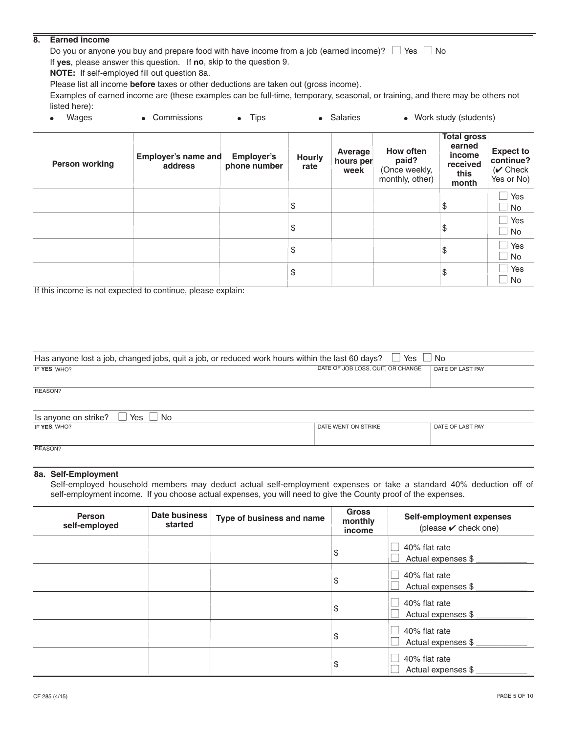#### **8. Earned income**

Do you or anyone you buy and prepare food with have income from a job (earned income)?  $\Box$  Yes  $\Box$  No If **yes**, please answer this question. If **no**, skip to the question 9.

**NOTE:** If self-employed fill out question 8a.

Please list all income **before** taxes or other deductions are taken out (gross income).

Examples of earned income are (these examples can be full-time, temporary, seasonal, or training, and there may be others not listed here):

| Wages                 | • Commissions                         | $\bullet$ Tips                    |                       | • Salaries                   |                                                        | • Work study (students)                                             |                                                           |
|-----------------------|---------------------------------------|-----------------------------------|-----------------------|------------------------------|--------------------------------------------------------|---------------------------------------------------------------------|-----------------------------------------------------------|
| <b>Person working</b> | <b>Employer's name and</b><br>address | <b>Employer's</b><br>phone number | <b>Hourly</b><br>rate | Average<br>hours per<br>week | How often<br>paid?<br>(Once weekly,<br>monthly, other) | <b>Total gross</b><br>earned<br>income<br>received<br>this<br>month | <b>Expect to</b><br>continue?<br>$(V$ Check<br>Yes or No) |
|                       |                                       |                                   | \$                    |                              |                                                        | \$                                                                  | Yes<br>No<br>$\blacksquare$                               |
|                       |                                       |                                   | \$                    |                              |                                                        | \$                                                                  | Yes<br><b>No</b><br>$\mathcal{L}$                         |
|                       |                                       |                                   | \$                    |                              |                                                        | \$                                                                  | Yes<br><b>No</b>                                          |
|                       |                                       |                                   | \$                    |                              |                                                        | \$                                                                  | Yes<br>$\mathcal{L}$<br>No                                |

If this income is not expected to continue, please explain:

| Yes<br>Has anyone lost a job, changed jobs, quit a job, or reduced work hours within the last 60 days?<br>l No |                                   |                  |  |  |  |
|----------------------------------------------------------------------------------------------------------------|-----------------------------------|------------------|--|--|--|
| IF YES, WHO?                                                                                                   | DATE OF JOB LOSS, QUIT, OR CHANGE | DATE OF LAST PAY |  |  |  |
| REASON?                                                                                                        |                                   |                  |  |  |  |
| $\Box$ Yes $\Box$ No<br>Is anyone on strike?                                                                   |                                   |                  |  |  |  |
| IF YES, WHO?                                                                                                   | DATE WENT ON STRIKE               | DATE OF LAST PAY |  |  |  |

REASON?

#### **8a. Self-Employment**

Self-employed household members may deduct actual self-employment expenses or take a standard 40% deduction off of self-employment income. If you choose actual expenses, you will need to give the County proof of the expenses.

| <b>Person</b><br>self-employed | Date business<br>started | Type of business and name | <b>Gross</b><br>monthly<br>income | Self-employment expenses<br>(please $\mathbf v$ check one) |
|--------------------------------|--------------------------|---------------------------|-----------------------------------|------------------------------------------------------------|
|                                |                          |                           | \$                                | 40% flat rate<br>Actual expenses \$                        |
|                                |                          |                           | \$                                | 40% flat rate<br>Actual expenses \$                        |
|                                |                          |                           | \$                                | 40% flat rate<br>Actual expenses \$                        |
|                                |                          |                           | \$                                | 40% flat rate<br>Actual expenses \$                        |
|                                |                          |                           | \$                                | 40% flat rate<br>Actual expenses \$                        |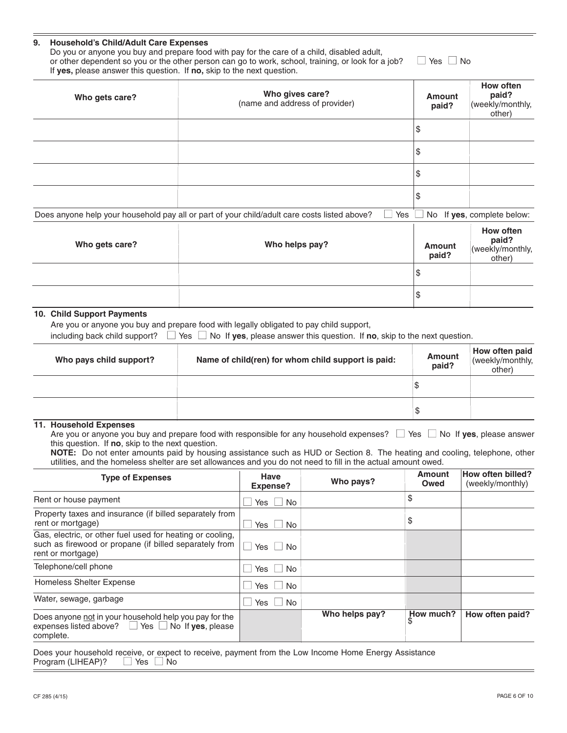#### **9. Household's Child/Adult Care Expenses**

Do you or anyone you buy and prepare food with pay for the care of a child, disabled adult, or other dependent so you or the other person can go to work, school, training, or look for a job?  $\Box$  Yes  $\Box$  No If **yes,** please answer this question. If **no,** skip to the next question.

| Who gets care? | Who gives care?<br>(name and address of provider)                                            |                   | <b>Amount</b><br>paid? | How often<br>paid?<br>(weekly/monthly,<br>other) |
|----------------|----------------------------------------------------------------------------------------------|-------------------|------------------------|--------------------------------------------------|
|                |                                                                                              |                   | \$                     |                                                  |
|                |                                                                                              |                   | S                      |                                                  |
|                |                                                                                              |                   | S                      |                                                  |
|                |                                                                                              |                   | S                      |                                                  |
|                | Does anyone help your household pay all or part of your child/adult care costs listed above? | $\Box$ Yes $\Box$ |                        | $\Box$ No If yes, complete below:                |

| Who gets care? | Who helps pay? | Amount<br>paid? | How often<br>paid?<br>(weekly/monthly,<br>other) |
|----------------|----------------|-----------------|--------------------------------------------------|
|                |                | S               |                                                  |
|                |                | '\$             |                                                  |

#### **10. Child Support Payments**

Are you or anyone you buy and prepare food with legally obligated to pay child support,

including back child support? ■ Yes ■ No If **yes**, please answer this question. If **no**, skip to the next question.

| Who pays child support? | Name of child(ren) for whom child support is paid: | <b>Amount</b><br>paid? | How often paid<br>(weekly/monthly,<br>other) |
|-------------------------|----------------------------------------------------|------------------------|----------------------------------------------|
|                         |                                                    |                        |                                              |
|                         |                                                    | ъ                      |                                              |

#### **11. Household Expenses**

Are you or anyone you buy and prepare food with responsible for any household expenses?  $\Box$  Yes  $\Box$  No If yes, please answer this question. If **no**, skip to the next question.

**NOTE:** Do not enter amounts paid by housing assistance such as HUD or Section 8. The heating and cooling, telephone, other utilities, and the homeless shelter are set allowances and you do not need to fill in the actual amount owed.

| <b>Type of Expenses</b>                                                                                                                  | Have<br><b>Expense?</b> | Who pays?      | Amount<br>Owed  | <b>How often billed?</b><br>(weekly/monthly) |
|------------------------------------------------------------------------------------------------------------------------------------------|-------------------------|----------------|-----------------|----------------------------------------------|
| Rent or house payment                                                                                                                    | Yes I<br>No.            |                | \$              |                                              |
| Property taxes and insurance (if billed separately from<br>rent or mortgage)                                                             | <b>No</b><br>Yes        |                | \$              |                                              |
| Gas, electric, or other fuel used for heating or cooling,<br>such as firewood or propane (if billed separately from<br>rent or mortgage) | N <sub>0</sub><br>l Yes |                |                 |                                              |
| Telephone/cell phone                                                                                                                     | Yes     No              |                |                 |                                              |
| Homeless Shelter Expense                                                                                                                 | No.<br>Yes              |                |                 |                                              |
| Water, sewage, garbage                                                                                                                   | No.<br>l Yes            |                |                 |                                              |
| Does anyone not in your household help you pay for the<br>expenses listed above? $\Box$ Yes $\Box$ No If yes, please<br>complete.        |                         | Who helps pay? | How much?<br>\$ | How often paid?                              |

Does your household receive, or expect to receive, payment from the Low Income Home Energy Assistance Program (LIHEAP)?  $\Box$  Yes  $\Box$  No Program (LIHEAP)?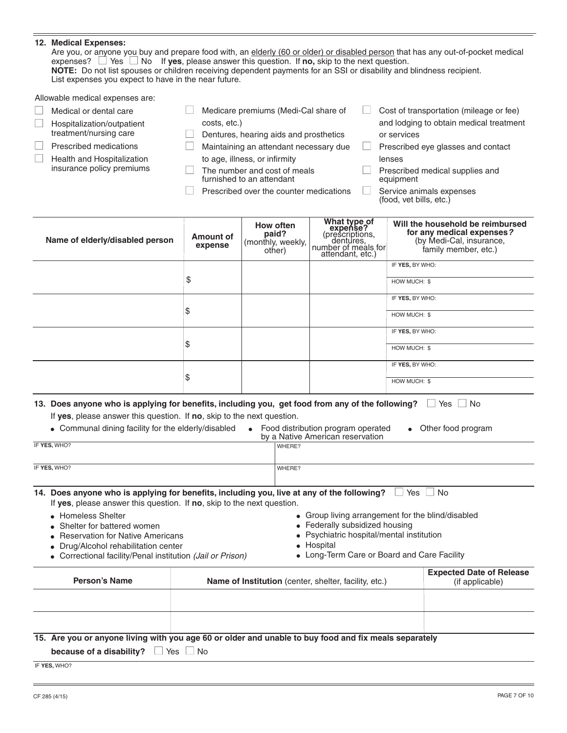|  | 12. Medical Expenses:<br>Are you, or anyone you buy and prepare food with, an elderly (60 or older) or disabled person that has any out-of-pocket medical<br>expenses? $\Box$ Yes $\Box$ No If yes, please answer this question. If no, skip to the next question.<br>NOTE: Do not list spouses or children receiving dependent payments for an SSI or disability and blindness recipient.<br>List expenses you expect to have in the near future. |                      |                                                           |                                                                                                     |  |                                                                                                                   |  |  |
|--|----------------------------------------------------------------------------------------------------------------------------------------------------------------------------------------------------------------------------------------------------------------------------------------------------------------------------------------------------------------------------------------------------------------------------------------------------|----------------------|-----------------------------------------------------------|-----------------------------------------------------------------------------------------------------|--|-------------------------------------------------------------------------------------------------------------------|--|--|
|  | Allowable medical expenses are:                                                                                                                                                                                                                                                                                                                                                                                                                    |                      |                                                           |                                                                                                     |  |                                                                                                                   |  |  |
|  | Medical or dental care                                                                                                                                                                                                                                                                                                                                                                                                                             |                      | Medicare premiums (Medi-Cal share of                      |                                                                                                     |  | Cost of transportation (mileage or fee)                                                                           |  |  |
|  | Hospitalization/outpatient                                                                                                                                                                                                                                                                                                                                                                                                                         | costs, etc.)         |                                                           |                                                                                                     |  | and lodging to obtain medical treatment                                                                           |  |  |
|  | treatment/nursing care                                                                                                                                                                                                                                                                                                                                                                                                                             |                      | Dentures, hearing aids and prosthetics                    |                                                                                                     |  | or services                                                                                                       |  |  |
|  | Prescribed medications                                                                                                                                                                                                                                                                                                                                                                                                                             |                      | Maintaining an attendant necessary due                    |                                                                                                     |  | Prescribed eye glasses and contact                                                                                |  |  |
|  | Health and Hospitalization                                                                                                                                                                                                                                                                                                                                                                                                                         |                      | to age, illness, or infirmity                             |                                                                                                     |  | lenses                                                                                                            |  |  |
|  | insurance policy premiums                                                                                                                                                                                                                                                                                                                                                                                                                          |                      | The number and cost of meals<br>furnished to an attendant |                                                                                                     |  | Prescribed medical supplies and<br>equipment                                                                      |  |  |
|  |                                                                                                                                                                                                                                                                                                                                                                                                                                                    |                      | Prescribed over the counter medications                   |                                                                                                     |  | Service animals expenses<br>(food, vet bills, etc.)                                                               |  |  |
|  |                                                                                                                                                                                                                                                                                                                                                                                                                                                    |                      |                                                           |                                                                                                     |  |                                                                                                                   |  |  |
|  | Name of elderly/disabled person                                                                                                                                                                                                                                                                                                                                                                                                                    | Amount of<br>expense | How often<br>paid?<br>(monthly, weekly,<br>other)         | What type of<br>expense?<br>(prescriptions,<br>dentures.<br>number of meals for<br>attendant, etc.) |  | Will the household be reimbursed<br>for any medical expenses?<br>(by Medi-Cal, insurance,<br>family member, etc.) |  |  |
|  |                                                                                                                                                                                                                                                                                                                                                                                                                                                    |                      |                                                           |                                                                                                     |  | IF YES, BY WHO:                                                                                                   |  |  |
|  |                                                                                                                                                                                                                                                                                                                                                                                                                                                    | \$                   |                                                           |                                                                                                     |  | HOW MUCH: \$                                                                                                      |  |  |
|  |                                                                                                                                                                                                                                                                                                                                                                                                                                                    |                      |                                                           |                                                                                                     |  | IF YES, BY WHO:                                                                                                   |  |  |

HOW MUCH: \$ IF **YES,** BY WHO: HOW MUCH: \$ IF **YES,** BY WHO: HOW MUCH: \$

| If yes, please answer this question. If no, skip to the next question.                                                                                               |  |                                                                                                                                                |                                                    |  |  |  |
|----------------------------------------------------------------------------------------------------------------------------------------------------------------------|--|------------------------------------------------------------------------------------------------------------------------------------------------|----------------------------------------------------|--|--|--|
| • Communal dining facility for the elderly/disabled                                                                                                                  |  | • Food distribution program operated<br>$\bullet$<br>by a Native American reservation                                                          | Other food program                                 |  |  |  |
| IF YES, WHO?                                                                                                                                                         |  | WHERE?                                                                                                                                         |                                                    |  |  |  |
| IF YES, WHO?                                                                                                                                                         |  | WHERE?                                                                                                                                         |                                                    |  |  |  |
| 14. Does anyone who is applying for benefits, including you, live at any of the following?<br>If ves, please answer this question. If no, skip to the next question. |  |                                                                                                                                                | Yes<br>No.                                         |  |  |  |
| • Homeless Shelter<br>• Shelter for battered women<br>• Reservation for Native Americans<br>• Drug/Alcohol rehabilitation center                                     |  | • Group living arrangement for the blind/disabled<br>• Federally subsidized housing<br>• Psychiatric hospital/mental institution<br>• Hospital |                                                    |  |  |  |
| • Correctional facility/Penal institution (Jail or Prison)                                                                                                           |  | • Long-Term Care or Board and Care Facility                                                                                                    |                                                    |  |  |  |
| <b>Person's Name</b>                                                                                                                                                 |  | <b>Name of Institution</b> (center, shelter, facility, etc.)                                                                                   | <b>Expected Date of Release</b><br>(if applicable) |  |  |  |
|                                                                                                                                                                      |  |                                                                                                                                                |                                                    |  |  |  |

**13. Does anyone who is applying for benefits, including you, get food from any of the following?** □ Yes □ No

\$

\$

\$

# **15. Are you or anyone living with you age 60 or older and unable to buy food and fix meals separately**

**because of a disability?** □ Yes □ No

IF **YES,** WHO?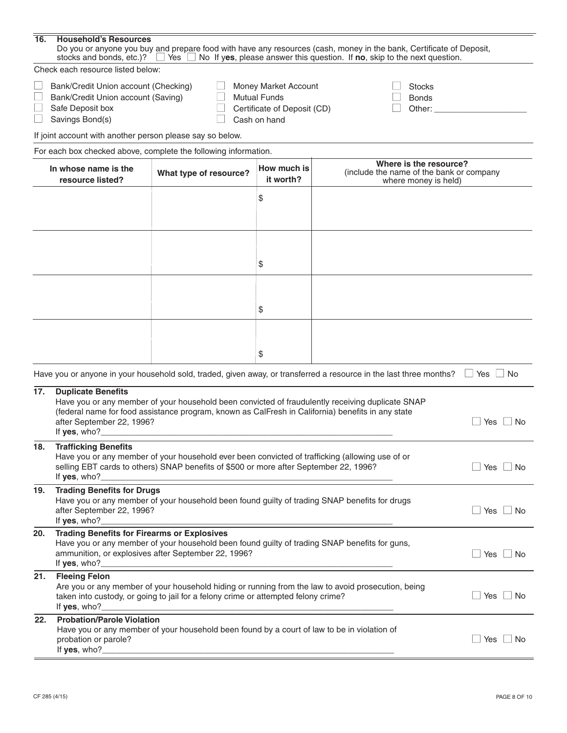| 16. | <b>Household's Resources</b>                                                                                                                                                                                                                                                                                             |                                                                                                                                                                                          |    |                                                                                                                    |                      |  |  |  |
|-----|--------------------------------------------------------------------------------------------------------------------------------------------------------------------------------------------------------------------------------------------------------------------------------------------------------------------------|------------------------------------------------------------------------------------------------------------------------------------------------------------------------------------------|----|--------------------------------------------------------------------------------------------------------------------|----------------------|--|--|--|
|     | Do you or anyone you buy and prepare food with have any resources (cash, money in the bank, Certificate of Deposit,<br>stocks and bonds, etc.)? $\Box$ Yes $\Box$<br>No If yes, please answer this question. If no, skip to the next question.                                                                           |                                                                                                                                                                                          |    |                                                                                                                    |                      |  |  |  |
|     | Check each resource listed below:                                                                                                                                                                                                                                                                                        |                                                                                                                                                                                          |    |                                                                                                                    |                      |  |  |  |
|     | Bank/Credit Union account (Checking)<br>Money Market Account<br><b>Stocks</b><br><b>Mutual Funds</b><br>Bank/Credit Union account (Saving)<br><b>Bonds</b><br>Certificate of Deposit (CD)<br>Safe Deposit box<br>Other:<br>Savings Bond(s)<br>Cash on hand                                                               |                                                                                                                                                                                          |    |                                                                                                                    |                      |  |  |  |
|     | If joint account with another person please say so below.                                                                                                                                                                                                                                                                |                                                                                                                                                                                          |    |                                                                                                                    |                      |  |  |  |
|     |                                                                                                                                                                                                                                                                                                                          | For each box checked above, complete the following information.                                                                                                                          |    |                                                                                                                    |                      |  |  |  |
|     | Where is the resource?<br>How much is<br>In whose name is the<br>(include the name of the bank or company<br>What type of resource?<br>it worth?<br>resource listed?<br>where money is held)                                                                                                                             |                                                                                                                                                                                          |    |                                                                                                                    |                      |  |  |  |
|     | \$                                                                                                                                                                                                                                                                                                                       |                                                                                                                                                                                          |    |                                                                                                                    |                      |  |  |  |
|     | \$                                                                                                                                                                                                                                                                                                                       |                                                                                                                                                                                          |    |                                                                                                                    |                      |  |  |  |
|     |                                                                                                                                                                                                                                                                                                                          |                                                                                                                                                                                          | \$ |                                                                                                                    |                      |  |  |  |
|     |                                                                                                                                                                                                                                                                                                                          |                                                                                                                                                                                          | \$ |                                                                                                                    |                      |  |  |  |
|     |                                                                                                                                                                                                                                                                                                                          |                                                                                                                                                                                          |    | Have you or anyone in your household sold, traded, given away, or transferred a resource in the last three months? | $\Box$ Yes $\Box$ No |  |  |  |
| 17. | <b>Duplicate Benefits</b><br>after September 22, 1996?<br>If yes, who?                                                                                                                                                                                                                                                   | (federal name for food assistance program, known as CalFresh in California) benefits in any state                                                                                        |    | Have you or any member of your household been convicted of fraudulently receiving duplicate SNAP                   | Yes<br><b>No</b>     |  |  |  |
| 18. | <b>Trafficking Benefits</b><br>If yes, who?_                                                                                                                                                                                                                                                                             | Have you or any member of your household ever been convicted of trafficking (allowing use of or<br>selling EBT cards to others) SNAP benefits of \$500 or more after September 22, 1996? |    |                                                                                                                    | $\perp$ No<br>Yes    |  |  |  |
| 19. | <b>Trading Benefits for Drugs</b><br>Have you or any member of your household been found guilty of trading SNAP benefits for drugs<br>after September 22, 1996?<br>Yes<br>$\Box$ No<br>If yes, who?_                                                                                                                     |                                                                                                                                                                                          |    |                                                                                                                    |                      |  |  |  |
| 20. | <b>Trading Benefits for Firearms or Explosives</b><br>Have you or any member of your household been found guilty of trading SNAP benefits for guns,<br>ammunition, or explosives after September 22, 1996?<br>Yes<br><b>No</b><br>If yes, who?_                                                                          |                                                                                                                                                                                          |    |                                                                                                                    |                      |  |  |  |
| 21. | <b>Fleeing Felon</b><br>Are you or any member of your household hiding or running from the law to avoid prosecution, being<br>Yes<br>$\Box$ No<br>taken into custody, or going to jail for a felony crime or attempted felony crime?<br>If yes, who?<br><u> 1989 - Andrea Stadt Britain, amerikansk politik (* 1908)</u> |                                                                                                                                                                                          |    |                                                                                                                    |                      |  |  |  |
| 22. | <b>Probation/Parole Violation</b><br>probation or parole?<br>If yes, who?_                                                                                                                                                                                                                                               | Have you or any member of your household been found by a court of law to be in violation of                                                                                              |    |                                                                                                                    | Yes<br>$\Box$ No     |  |  |  |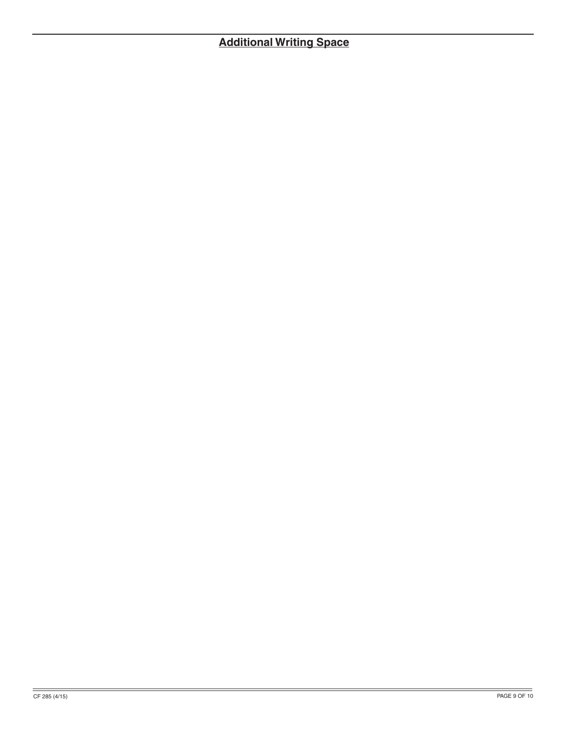# **Additional Writing Space**